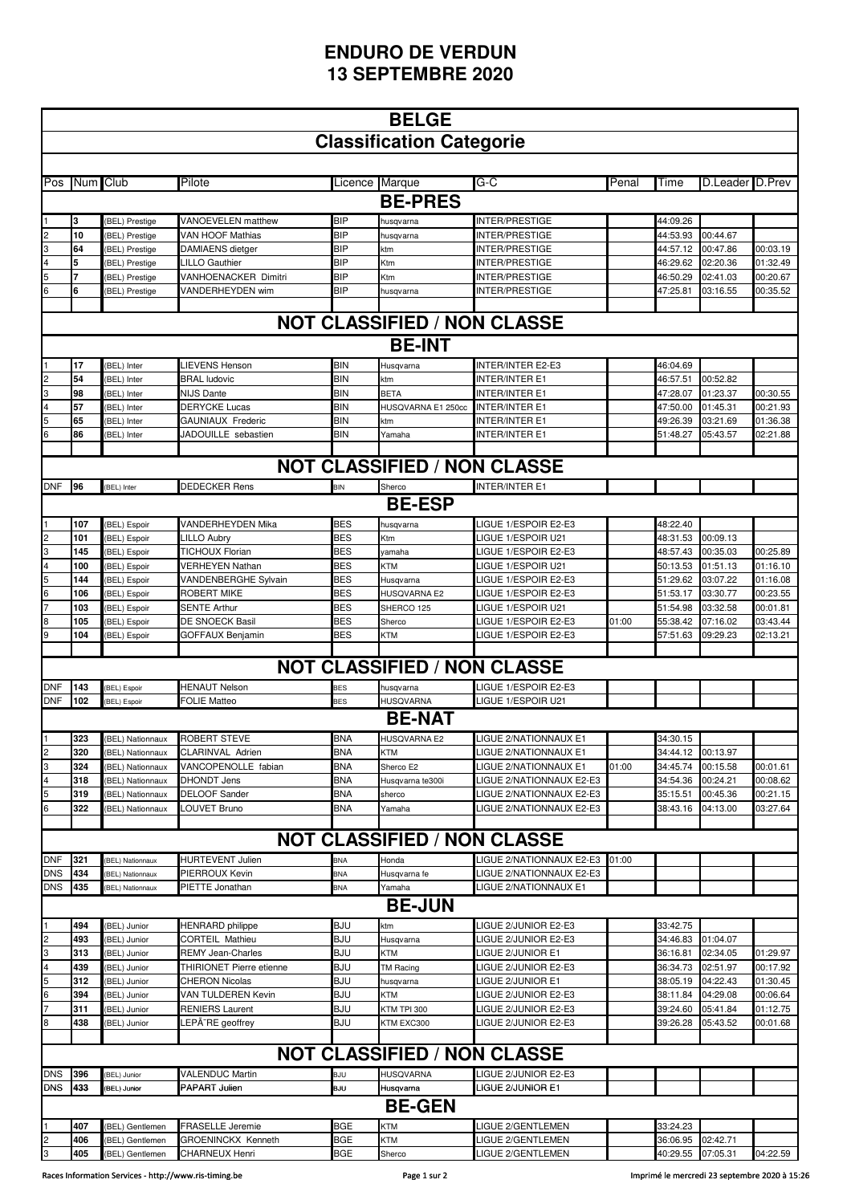## **ENDURO DE VERDUN 13 SEPTEMBRE 2020**

|                                    | <b>BELGE</b> |                                           |                                            |                   |                                          |                                                             |       |                      |                      |                      |  |  |  |
|------------------------------------|--------------|-------------------------------------------|--------------------------------------------|-------------------|------------------------------------------|-------------------------------------------------------------|-------|----------------------|----------------------|----------------------|--|--|--|
|                                    |              |                                           |                                            |                   | <b>Classification Categorie</b>          |                                                             |       |                      |                      |                      |  |  |  |
|                                    |              |                                           |                                            |                   |                                          |                                                             |       |                      |                      |                      |  |  |  |
| Pos                                | Num Club     |                                           | Pilote                                     |                   | Licence Marque                           | G-C                                                         | Penal | Time                 | D.Leader D.Prev      |                      |  |  |  |
|                                    |              |                                           |                                            |                   | <b>BE-PRES</b>                           |                                                             |       |                      |                      |                      |  |  |  |
|                                    | 3            | (BEL) Prestige                            | VANOEVELEN matthew                         | BIP               | husqvarna                                | INTER/PRESTIGE                                              |       | 44:09.26             |                      |                      |  |  |  |
|                                    | 10           | (BEL) Prestige                            | VAN HOOF Mathias                           | <b>BIP</b>        | านsqvarna                                | INTER/PRESTIGE                                              |       | 44:53.93             | 00:44.67             |                      |  |  |  |
| $\overline{\mathbf{3}}$            | 64           | (BEL) Prestige                            | DAMIAENS dietger                           | BIP               | ktm                                      | INTER/PRESTIGE                                              |       | 44:57.12             | 00:47.86             | 00:03.19             |  |  |  |
|                                    | 5            | (BEL) Prestige                            | <b>LILLO Gauthier</b>                      | <b>BIP</b>        | Ktm                                      | INTER/PRESTIGE                                              |       | 46:29.62             | 02:20.36             | 01:32.49             |  |  |  |
| 5                                  |              | (BEL) Prestige                            | <b>VANHOENACKER Dimitri</b>                | BIP               | Ktm                                      | INTER/PRESTIGE                                              |       | 46:50.29             | 02:41.03             | 00:20.67             |  |  |  |
|                                    | 6            | BEL) Prestige                             | VANDERHEYDEN wim                           | BIP               | านsqvarna                                | INTER/PRESTIGE                                              |       | 47:25.81             | 03:16.55             | 00:35.52             |  |  |  |
|                                    |              |                                           |                                            |                   |                                          |                                                             |       |                      |                      |                      |  |  |  |
| <b>NOT CLASSIFIED / NON CLASSE</b> |              |                                           |                                            |                   |                                          |                                                             |       |                      |                      |                      |  |  |  |
| <b>BE-INT</b>                      |              |                                           |                                            |                   |                                          |                                                             |       |                      |                      |                      |  |  |  |
|                                    | 17           | (BEL) Inter                               | LIEVENS Henson                             | <b>BIN</b>        | Husqvarna                                | INTER/INTER E2-E3                                           |       | 46:04.69             |                      |                      |  |  |  |
|                                    | 54           | (BEL) Inter                               | <b>BRAL ludovic</b>                        | <b>BIN</b>        | ٢m                                       | INTER/INTER E1                                              |       | 46:57.51             | 00:52.82             |                      |  |  |  |
|                                    | 98<br>57     | (BEL) Inter<br>(BEL) Inter                | <b>NIJS Dante</b><br><b>DERYCKE Lucas</b>  | BIN<br><b>BIN</b> | <b>BETA</b><br><b>HUSQVARNA E1 250cc</b> | INTER/INTER E1<br><b>INTER/INTER E1</b>                     |       | 47:28.07<br>47:50.00 | 01:23.37<br>01:45.31 | 00:30.55<br>00:21.93 |  |  |  |
|                                    | 65           | (BEL) Inter                               | GAUNIAUX Frederic                          | BIN               | ٢m                                       | INTER/INTER E1                                              |       | 49:26.39             | 03:21.69             | 01:36.38             |  |  |  |
| 6                                  | 86           | (BEL) Inter                               | JADOUILLE sebastien                        | BIN               | Yamaha                                   | <b>INTER/INTER E1</b>                                       |       | 51:48.27             | 05:43.57             | 02:21.88             |  |  |  |
|                                    |              |                                           |                                            |                   |                                          |                                                             |       |                      |                      |                      |  |  |  |
| <b>NOT CLASSIFIED / NON CLASSE</b> |              |                                           |                                            |                   |                                          |                                                             |       |                      |                      |                      |  |  |  |
| <b>DNF</b>                         | 96           | (BEL) Inter                               | <b>DEDECKER Rens</b>                       | <b>BIN</b>        | Sherco                                   | <b>INTER/INTER E1</b>                                       |       |                      |                      |                      |  |  |  |
|                                    |              |                                           |                                            |                   | <b>BE-ESP</b>                            |                                                             |       |                      |                      |                      |  |  |  |
|                                    | 107          | (BEL) Espoir                              | VANDERHEYDEN Mika                          | <b>BES</b>        | <b>usqvarna</b>                          | LIGUE 1/ESPOIR E2-E3                                        |       | 48:22.40             |                      |                      |  |  |  |
|                                    | 101          | <b>BEL)</b> Espoir                        | LILLO Aubry                                | <b>BES</b>        | Ktm                                      | LIGUE 1/ESPOIR U21                                          |       | 48:31.53             | 00:09.13             |                      |  |  |  |
| 3                                  | 145          | (BEL) Espoir                              | <b>TICHOUX Florian</b>                     | <b>BES</b>        | yamaha                                   | LIGUE 1/ESPOIR E2-E3                                        |       | 48:57.43             | 00:35.03             | 00:25.89             |  |  |  |
|                                    | 100          | (BEL) Espoir                              | VERHEYEN Nathan                            | <b>BES</b>        | KTM                                      | LIGUE 1/ESPOIR U21                                          |       | 50:13.53             | 01:51.13             | 01:16.10             |  |  |  |
| $\overline{6}$                     | 144          | (BEL) Espoir                              | VANDENBERGHE Sylvain                       | <b>BES</b>        | Husqvarna                                | LIGUE 1/ESPOIR E2-E3                                        |       | 51:29.62             | 03:07.22             | 01:16.08             |  |  |  |
|                                    | 106<br>103   | (BEL) Espoir<br>(BEL) Espoir              | ROBERT MIKE<br><b>SENTE Arthur</b>         | BES<br><b>BES</b> | HUSQVARNA E2<br>SHERCO 125               | LIGUE 1/ESPOIR E2-E3<br>LIGUE 1/ESPOIR U21                  |       | 51:53.17<br>51:54.98 | 03:30.77<br>03:32.58 | 00:23.55<br>00:01.81 |  |  |  |
|                                    | 105          | BEL) Espoir                               | DE SNOECK Basil                            | <b>BES</b>        | Sherco                                   | LIGUE 1/ESPOIR E2-E3                                        | 01:00 | 55:38.42             | 07:16.02             | 03:43.44             |  |  |  |
|                                    | 104          | BEL) Espoir                               | GOFFAUX Benjamin                           | <b>BES</b>        | KTM                                      | <b>LIGUE 1/ESPOIR E2-E3</b>                                 |       | 57:51.63             | 09:29.23             | 02:13.21             |  |  |  |
|                                    |              |                                           |                                            |                   |                                          |                                                             |       |                      |                      |                      |  |  |  |
|                                    |              |                                           |                                            |                   | <b>NOT CLASSIFIED / NON CLASSE</b>       |                                                             |       |                      |                      |                      |  |  |  |
| <b>DNF</b>                         | 143          | (BEL) Espoir                              | <b>HENAUT Nelson</b>                       | BES               | husqvarna                                | LIGUE 1/ESPOIR E2-E3                                        |       |                      |                      |                      |  |  |  |
| <b>DNF</b>                         | 102          | (BEL) Espoir                              | <b>FOLIE Matteo</b>                        | <b>BES</b>        | HUSQVARNA                                | LIGUE 1/ESPOIR U21                                          |       |                      |                      |                      |  |  |  |
|                                    |              |                                           |                                            |                   | <b>BE-NAT</b>                            |                                                             |       |                      |                      |                      |  |  |  |
| $\overline{1}$                     | 323          | (BEL) Nationnaux                          | <b>ROBERT STEVE</b>                        | <b>BNA</b>        | <b>HUSQVARNA E2</b>                      | LIGUE 2/NATIONNAUX E1                                       |       | 34:30.15             |                      |                      |  |  |  |
| $\frac{2}{3}$                      | 320          | (BEL) Nationnaux                          | CLARINVAL Adrien                           | <b>BNA</b>        | KTM                                      | LIGUE 2/NATIONNAUX E1                                       |       | 34:44.12             | 00:13.97             |                      |  |  |  |
|                                    | 324          | <b>BEL) Nationnaux</b>                    | VANCOPENOLLE fabian                        | BNA               | Sherco E2                                | LIGUE 2/NATIONNAUX E1                                       | 01:00 | 34:45.74             | 00:15.58             | 00:01.61             |  |  |  |
| 4                                  | 318<br>319   | <b>BEL) Nationnaux</b><br>BEL) Nationnaux | <b>DHONDT Jens</b><br><b>DELOOF Sander</b> | BNA<br><b>BNA</b> | Husqvarna te300i                         | LIGUE 2/NATIONNAUX E2-E3<br><b>LIGUE 2/NATIONNAUX E2-E3</b> |       | 34:54.36<br>35:15.51 | 00:24.21<br>00:45.36 | 00:08.62<br>00:21.15 |  |  |  |
| $\frac{5}{6}$                      | 322          | BEL) Nationnaux                           | LOUVET Bruno                               | <b>BNA</b>        | sherco<br>Yamaha                         | <b>LIGUE 2/NATIONNAUX E2-E3</b>                             |       | 38:43.16             | 04:13.00             | 03:27.64             |  |  |  |
|                                    |              |                                           |                                            |                   |                                          |                                                             |       |                      |                      |                      |  |  |  |
|                                    |              |                                           |                                            |                   |                                          | <b>NOT CLASSIFIED / NON CLASSE</b>                          |       |                      |                      |                      |  |  |  |
| <b>DNF</b>                         | 321          | <b>BEL) Nationnaux</b>                    | HURTEVENT Julien                           | BNA               | Honda                                    | LIGUE 2/NATIONNAUX E2-E3                                    | 01:00 |                      |                      |                      |  |  |  |
| <b>DNS</b>                         | 434          | (BEL) Nationnaux                          | PIERROUX Kevin                             | BNA               | Husqvarna fe                             | LIGUE 2/NATIONNAUX E2-E3                                    |       |                      |                      |                      |  |  |  |
| <b>DNS</b>                         | 435          | (BEL) Nationnaux                          | PIETTE Jonathan                            | BNA               | Yamaha                                   | LIGUE 2/NATIONNAUX E1                                       |       |                      |                      |                      |  |  |  |
|                                    |              |                                           |                                            |                   | <b>BE-JUN</b>                            |                                                             |       |                      |                      |                      |  |  |  |
|                                    | 494          | (BEL) Junior                              | <b>HENRARD</b> philippe                    | <b>BJU</b>        | ktm                                      | LIGUE 2/JUNIOR E2-E3                                        |       | 33:42.75             |                      |                      |  |  |  |
|                                    | 493          | (BEL) Junior                              | CORTEIL Mathieu                            | BJU               | Husqvarna                                | LIGUE 2/JUNIOR E2-E3                                        |       | 34:46.83             | 01:04.07             |                      |  |  |  |
| 3                                  | 313          | (BEL) Junior                              | <b>REMY Jean-Charles</b>                   | BJU               | KTM                                      | LIGUE 2/JUNIOR E1                                           |       | 36:16.81             | 02:34.05             | 01:29.97             |  |  |  |
|                                    | 439          | (BEL) Junior                              | THIRIONET Pierre etienne                   | <b>BJU</b>        | TM Racing                                | LIGUE 2/JUNIOR E2-E3                                        |       | 36:34.73             | 02:51.97             | 00:17.92             |  |  |  |
| 5<br>6                             | 312<br>394   | BEL) Junior<br>BEL) Junior                | CHERON Nicolas<br>VAN TULDEREN Kevin       | BJU<br>BJU        | husqvarna<br>KTM                         | LIGUE 2/JUNIOR E1<br>LIGUE 2/JUNIOR E2-E3                   |       | 38:05.19<br>38:11.84 | 04:22.43<br>04:29.08 | 01:30.45<br>00:06.64 |  |  |  |
|                                    | 311          | BEL) Junior                               | RENIERS Laurent                            | BJU               | <b>KTM TPI 300</b>                       | LIGUE 2/JUNIOR E2-E3                                        |       | 39:24.60             | 05:41.84             | 01:12.75             |  |  |  |
| 8                                  | 438          | BEL) Junior                               | LEPÃ RE geoffrey                           | BJU               | <b>KTM EXC300</b>                        | <b>LIGUE 2/JUNIOR E2-E3</b>                                 |       | 39:26.28             | 05:43.52             | 00:01.68             |  |  |  |
|                                    |              |                                           |                                            |                   |                                          |                                                             |       |                      |                      |                      |  |  |  |
|                                    |              |                                           |                                            |                   |                                          | <b>NOT CLASSIFIED / NON CLASSE</b>                          |       |                      |                      |                      |  |  |  |
| <b>DNS</b>                         | 396          | (BEL) Junior                              | <b>VALENDUC Martin</b>                     | BJU               | HUSQVARNA                                | LIGUE 2/JUNIOR E2-E3                                        |       |                      |                      |                      |  |  |  |
| <b>DNS</b>                         | 433          | (BEL) Junior                              | PAPART Julien                              | BJU               | Husqvarna                                | LIGUE 2/JUNIOR E1                                           |       |                      |                      |                      |  |  |  |
|                                    |              |                                           |                                            |                   | <b>BE-GEN</b>                            |                                                             |       |                      |                      |                      |  |  |  |
|                                    | 407          | (BEL) Gentlemen                           | <b>FRASELLE Jeremie</b>                    | BGE               | KTM                                      | LIGUE 2/GENTLEMEN                                           |       | 33:24.23             |                      |                      |  |  |  |
|                                    | 406          | (BEL) Gentlemen                           | <b>GROENINCKX Kenneth</b>                  | BGE               | KTM                                      | <b>LIGUE 2/GENTLEMEN</b>                                    |       | 36:06.95             | 02:42.71             |                      |  |  |  |
| $\frac{2}{3}$                      | 405          | (BEL) Gentlemen                           | <b>CHARNEUX Henri</b>                      | BGE               | Sherco                                   | LIGUE 2/GENTLEMEN                                           |       | 40:29.55             | 07:05.31             | 04:22.59             |  |  |  |